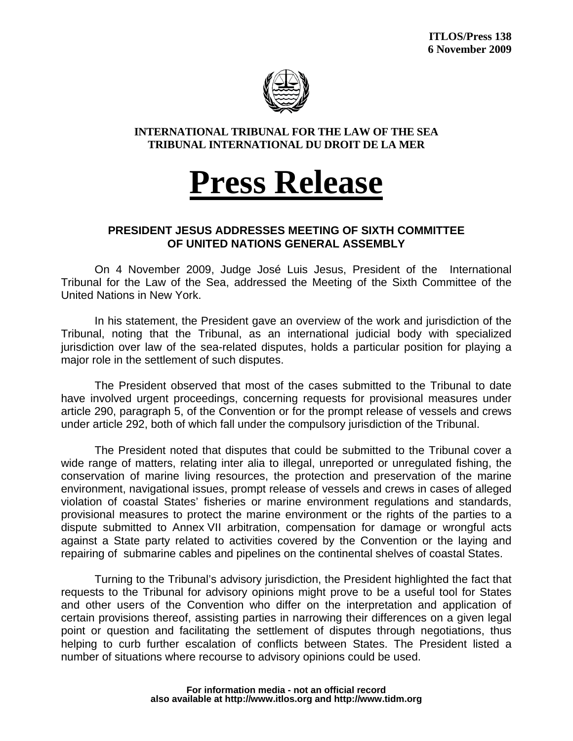

**INTERNATIONAL TRIBUNAL FOR THE LAW OF THE SEA TRIBUNAL INTERNATIONAL DU DROIT DE LA MER** 

## **Press Release**

## **PRESIDENT JESUS ADDRESSES MEETING OF SIXTH COMMITTEE OF UNITED NATIONS GENERAL ASSEMBLY**

On 4 November 2009, Judge José Luis Jesus, President of the International Tribunal for the Law of the Sea, addressed the Meeting of the Sixth Committee of the United Nations in New York.

In his statement, the President gave an overview of the work and jurisdiction of the Tribunal, noting that the Tribunal, as an international judicial body with specialized jurisdiction over law of the sea-related disputes, holds a particular position for playing a major role in the settlement of such disputes.

The President observed that most of the cases submitted to the Tribunal to date have involved urgent proceedings, concerning requests for provisional measures under article 290, paragraph 5, of the Convention or for the prompt release of vessels and crews under article 292, both of which fall under the compulsory jurisdiction of the Tribunal.

The President noted that disputes that could be submitted to the Tribunal cover a wide range of matters, relating inter alia to illegal, unreported or unregulated fishing, the conservation of marine living resources, the protection and preservation of the marine environment, navigational issues, prompt release of vessels and crews in cases of alleged violation of coastal States' fisheries or marine environment regulations and standards, provisional measures to protect the marine environment or the rights of the parties to a dispute submitted to Annex VII arbitration, compensation for damage or wrongful acts against a State party related to activities covered by the Convention or the laying and repairing of submarine cables and pipelines on the continental shelves of coastal States.

Turning to the Tribunal's advisory jurisdiction, the President highlighted the fact that requests to the Tribunal for advisory opinions might prove to be a useful tool for States and other users of the Convention who differ on the interpretation and application of certain provisions thereof, assisting parties in narrowing their differences on a given legal point or question and facilitating the settlement of disputes through negotiations, thus helping to curb further escalation of conflicts between States. The President listed a number of situations where recourse to advisory opinions could be used.